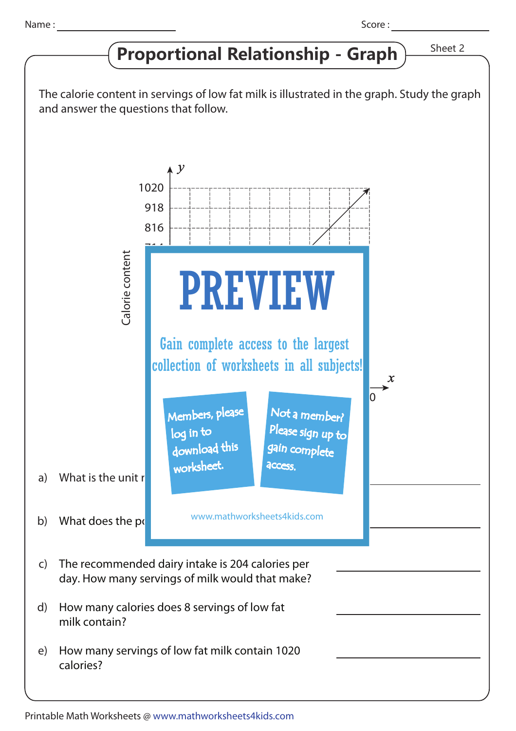